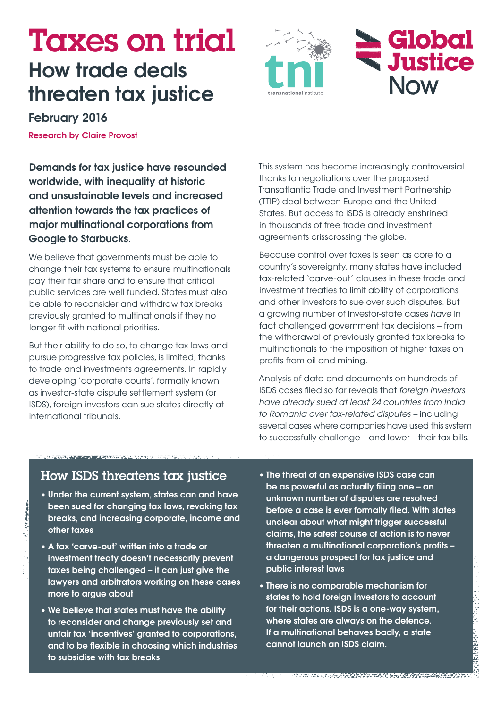# Taxes on trial **How trade deals threaten tax justice**





## **February 2016**

**Research by Claire Provost**

**Demands for tax justice have resounded worldwide, with inequality at historic and unsustainable levels and increased attention towards the tax practices of major multinational corporations from Google to Starbucks.**

We believe that governments must be able to change their tax systems to ensure multinationals pay their fair share and to ensure that critical public services are well funded. States must also be able to reconsider and withdraw tax breaks previously granted to multinationals if they no longer fit with national priorities.

But their ability to do so, to change tax laws and pursue progressive tax policies, is limited, thanks to trade and investments agreements. In rapidly developing 'corporate courts', formally known as investor-state dispute settlement system (or ISDS), foreign investors can sue states directly at international tribunals.

This system has become increasingly controversial thanks to negotiations over the proposed Transatlantic Trade and Investment Partnership (TTIP) deal between Europe and the United States. But access to ISDS is already enshrined in thousands of free trade and investment agreements crisscrossing the globe.

Because control over taxes is seen as core to a country's sovereignty, many states have included tax-related 'carve-out' clauses in these trade and investment treaties to limit ability of corporations and other investors to sue over such disputes. But a growing number of investor-state cases *have* in fact challenged government tax decisions – from the withdrawal of previously granted tax breaks to multinationals to the imposition of higher taxes on profits from oil and mining.

Analysis of data and documents on hundreds of ISDS cases filed so far reveals that *foreign investors have already sued at least 24 countries from India to Romania over tax-related disputes –* including several cases where companies have used this system to successfully challenge – and lower – their tax bills.

## How ISDS threatens tax justice

- **• Under the current system, states can and have been sued for changing tax laws, revoking tax breaks, and increasing corporate, income and other taxes**
- **• A tax 'carve-out' written into a trade or investment treaty doesn't necessarily prevent taxes being challenged – it can just give the lawyers and arbitrators working on these cases more to argue about**
- **• We believe that states must have the ability to reconsider and change previously set and unfair tax 'incentives' granted to corporations, and to be flexible in choosing which industries to subsidise with tax breaks**
- **• The threat of an expensive ISDS case can be as powerful as actually filing one – an unknown number of disputes are resolved before a case is ever formally filed. With states unclear about what might trigger successful claims, the safest course of action is to never threaten a multinational corporation's profits – a dangerous prospect for tax justice and public interest laws**
- **• There is no comparable mechanism for states to hold foreign investors to account for their actions. ISDS is a one-way system, where states are always on the defence. If a multinational behaves badly, a state cannot launch an ISDS claim.**

9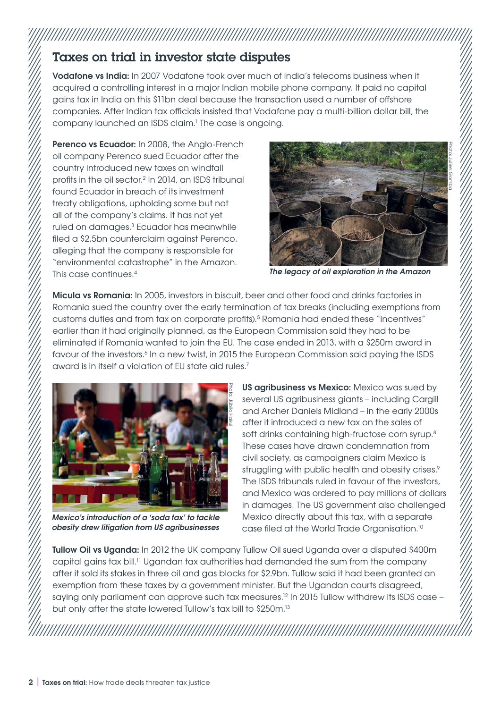# Taxes on trial in investor state disputes

**Vodafone vs India:** In 2007 Vodafone took over much of India's telecoms business when it acquired a controlling interest in a major Indian mobile phone company. It paid no capital gains tax in India on this \$11bn deal because the transaction used a number of offshore companies. After Indian tax officials insisted that Vodafone pay a multi-billion dollar bill, the company launched an ISDS claim.1 The case is ongoing.

**Perenco vs Ecuador:** In 2008, the Anglo-French oil company Perenco sued Ecuador after the country introduced new taxes on windfall profits in the oil sector.2 In 2014, an ISDS tribunal found Ecuador in breach of its investment treaty obligations, upholding some but not all of the company's claims. It has not yet ruled on damages.3 Ecuador has meanwhile filed a \$2.5bn counterclaim against Perenco, alleging that the company is responsible for "environmental catastrophe" in the Amazon. This case continues.4



*The legacy of oil exploration in the Amazon*

**Micula vs Romania:** In 2005, investors in biscuit, beer and other food and drinks factories in Romania sued the country over the early termination of tax breaks (including exemptions from customs duties and from tax on corporate profits).<sup>5</sup> Romania had ended these "incentives" earlier than it had originally planned, as the European Commission said they had to be eliminated if Romania wanted to join the EU. The case ended in 2013, with a \$250m award in favour of the investors.<sup>6</sup> In a new twist, in 2015 the European Commission said paying the ISDS award is in itself a violation of EU state aid rules.7



*Mexico's introduction of a 'soda tax' to tackle obesity drew litigation from US agribusinesses*

**US agribusiness vs Mexico:** Mexico was sued by several US agribusiness giants – including Cargill and Archer Daniels Midland – in the early 2000s after it introduced a new tax on the sales of soft drinks containing high-fructose corn syrup.<sup>8</sup> These cases have drawn condemnation from civil society, as campaigners claim Mexico is struggling with public health and obesity crises.<sup>9</sup> The ISDS tribunals ruled in favour of the investors, and Mexico was ordered to pay millions of dollars in damages. The US government also challenged Mexico directly about this tax, with a separate case filed at the World Trade Organisation.10

**Tullow Oil vs Uganda:** In 2012 the UK company Tullow Oil sued Uganda over a disputed \$400m capital gains tax bill.11 Ugandan tax authorities had demanded the sum from the company after it sold its stakes in three oil and gas blocks for \$2.9bn. Tullow said it had been granted an exemption from these taxes by a government minister. But the Ugandan courts disagreed, saying only parliament can approve such tax measures.<sup>12</sup> In 2015 Tullow withdrew its ISDS case – but only after the state lowered Tullow's tax bill to \$250m.<sup>13</sup>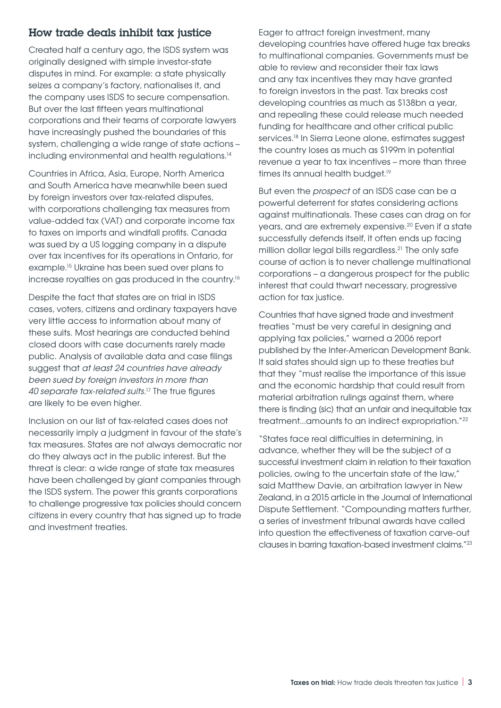#### How trade deals inhibit tax justice

Created half a century ago, the ISDS system was originally designed with simple investor-state disputes in mind. For example: a state physically seizes a company's factory, nationalises it, and the company uses ISDS to secure compensation. But over the last fifteen years multinational corporations and their teams of corporate lawyers have increasingly pushed the boundaries of this system, challenging a wide range of state actions – including environmental and health regulations.<sup>14</sup>

Countries in Africa, Asia, Europe, North America and South America have meanwhile been sued by foreign investors over tax-related disputes, with corporations challenging tax measures from value-added tax (VAT) and corporate income tax to taxes on imports and windfall profits. Canada was sued by a US logging company in a dispute over tax incentives for its operations in Ontario, for example.15 Ukraine has been sued over plans to increase royalties on gas produced in the country.16

Despite the fact that states are on trial in ISDS cases, voters, citizens and ordinary taxpayers have very little access to information about many of these suits. Most hearings are conducted behind closed doors with case documents rarely made public. Analysis of available data and case filings suggest that *at least 24 countries have already been sued by foreign investors in more than 40 separate tax-related suits*. 17 The true figures are likely to be even higher.

Inclusion on our list of tax-related cases does not necessarily imply a judgment in favour of the state's tax measures. States are not always democratic nor do they always act in the public interest. But the threat is clear: a wide range of state tax measures have been challenged by giant companies through the ISDS system. The power this grants corporations to challenge progressive tax policies should concern citizens in every country that has signed up to trade and investment treaties.

Eager to attract foreign investment, many developing countries have offered huge tax breaks to multinational companies. Governments must be able to review and reconsider their tax laws and any tax incentives they may have granted to foreign investors in the past. Tax breaks cost developing countries as much as \$138bn a year, and repealing these could release much needed funding for healthcare and other critical public services.<sup>18</sup> In Sierra Leone alone, estimates suggest the country loses as much as \$199m in potential revenue a year to tax incentives – more than three times its annual health budget.<sup>19</sup>

But even the *prospect* of an ISDS case can be a powerful deterrent for states considering actions against multinationals. These cases can drag on for years, and are extremely expensive.20 Even if a state successfully defends itself, it often ends up facing million dollar legal bills regardless.<sup>21</sup> The only safe course of action is to never challenge multinational corporations – a dangerous prospect for the public interest that could thwart necessary, progressive action for tax justice.

Countries that have signed trade and investment treaties "must be very careful in designing and applying tax policies," warned a 2006 report published by the Inter-American Development Bank. It said states should sign up to these treaties but that they "must realise the importance of this issue and the economic hardship that could result from material arbitration rulings against them, where there is finding [sic] that an unfair and inequitable tax treatment...amounts to an indirect expropriation."22

"States face real difficulties in determining, in advance, whether they will be the subject of a successful investment claim in relation to their taxation policies, owing to the uncertain state of the law," said Matthew Davie, an arbitration lawyer in New Zealand, in a 2015 article in the Journal of International Dispute Settlement. "Compounding matters further, a series of investment tribunal awards have called into question the effectiveness of taxation carve-out clauses in barring taxation-based investment claims."23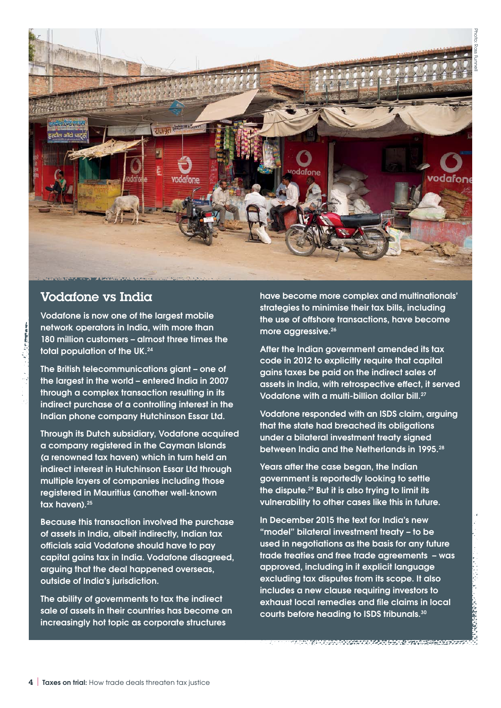

## Vodafone vs India

**Vodafone is now one of the largest mobile network operators in India, with more than 180 million customers – almost three times the total population of the UK.24**

**The British telecommunications giant – one of the largest in the world – entered India in 2007 through a complex transaction resulting in its indirect purchase of a controlling interest in the Indian phone company Hutchinson Essar Ltd.**

**Through its Dutch subsidiary, Vodafone acquired a company registered in the Cayman Islands (a renowned tax haven) which in turn held an indirect interest in Hutchinson Essar Ltd through multiple layers of companies including those registered in Mauritius (another well-known tax haven).25**

**Because this transaction involved the purchase of assets in India, albeit indirectly, Indian tax officials said Vodafone should have to pay capital gains tax in India. Vodafone disagreed, arguing that the deal happened overseas, outside of India's jurisdiction.**

**The ability of governments to tax the indirect sale of assets in their countries has become an increasingly hot topic as corporate structures** 

**have become more complex and multinationals' strategies to minimise their tax bills, including the use of offshore transactions, have become more aggressive.26**

**After the Indian government amended its tax code in 2012 to explicitly require that capital gains taxes be paid on the indirect sales of assets in India, with retrospective effect, it served Vodafone with a multi-billion dollar bill.27**

**Vodafone responded with an ISDS claim, arguing that the state had breached its obligations under a bilateral investment treaty signed between India and the Netherlands in 1995.28**

**Years after the case began, the Indian government is reportedly looking to settle the dispute.29 But it is also trying to limit its vulnerability to other cases like this in future.**

**In December 2015 the text for India's new "model" bilateral investment treaty – to be used in negotiations as the basis for any future trade treaties and free trade agreements – was approved, including in it explicit language excluding tax disputes from its scope. It also includes a new clause requiring investors to exhaust local remedies and file claims in local courts before heading to ISDS tribunals.30**

<u>inhaocografhafa aga ann ar tual</u>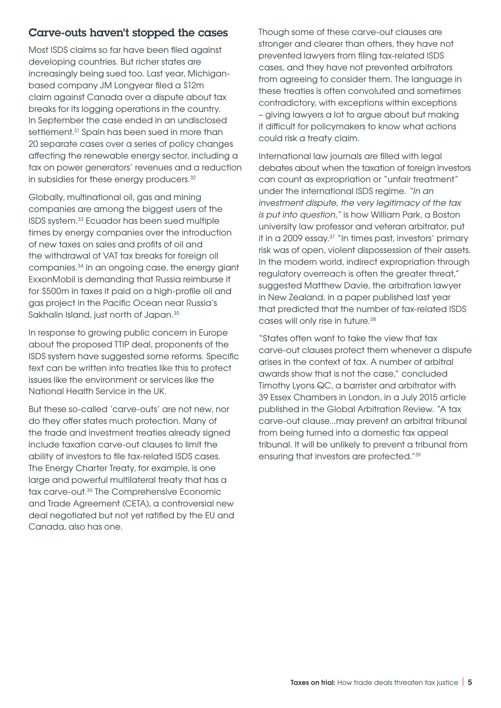#### Carve-outs haven't stopped the cases

Most ISDS claims so far have been filed against developing countries. But richer states are increasingly being sued too. Last year, Michiganbased company JM Longyear filed a \$12m claim against Canada over a dispute about tax breaks for its logging operations in the country. In September the case ended in an undisclosed settlement.<sup>31</sup> Spain has been sued in more than 20 separate cases over a series of policy changes affecting the renewable energy sector, including a tax on power generators' revenues and a reduction in subsidies for these energy producers.<sup>32</sup>

Globally, multinational oil, gas and mining companies are among the biggest users of the ISDS system.33 Ecuador has been sued multiple times by energy companies over the introduction of new taxes on sales and profits of oil and the withdrawal of VAT tax breaks for foreign oil companies.34 In an ongoing case, the energy giant ExxonMobil is demanding that Russia reimburse it for \$500m in taxes it paid on a high-profile oil and gas project in the Pacific Ocean near Russia's Sakhalin Island, just north of Japan.<sup>35</sup>

In response to growing public concern in Europe about the proposed TTIP deal, proponents of the ISDS system have suggested some reforms. Specific text can be written into treaties like this to protect issues like the environment or services like the National Health Service in the UK.

But these so-called 'carve-outs' are not new, nor do they offer states much protection. Many of the trade and investment treaties already signed include taxation carve-out clauses to limit the ability of investors to file tax-related ISDS cases. The Energy Charter Treaty, for example, is one large and powerful multilateral treaty that has a tax carve-out.36 The Comprehensive Economic and Trade Agreement (CETA), a controversial new deal negotiated but not yet ratified by the EU and Canada, also has one.

Though some of these carve-out clauses are stronger and clearer than others, they have not prevented lawyers from filing tax-related ISDS cases, and they have not prevented arbitrators from agreeing to consider them. The language in these treaties is often convoluted and sometimes contradictory, with exceptions within exceptions – giving lawyers a lot to argue about but making it difficult for policymakers to know what actions could risk a treaty claim.

International law journals are filled with legal debates about when the taxation of foreign investors can count as expropriation or "unfair treatment" under the international ISDS regime. *"In an investment dispute, the very legitimacy of the tax is put into question,"* is how William Park, a Boston university law professor and veteran arbitrator, put it in a 2009 essay.37 "In times past, investors' primary risk was of open, violent dispossession of their assets. In the modern world, indirect expropriation through regulatory overreach is often the greater threat," suggested Matthew Davie, the arbitration lawyer in New Zealand, in a paper published last year that predicted that the number of tax-related ISDS cases will only rise in future.38

"States often want to take the view that tax carve-out clauses protect them whenever a dispute arises in the context of tax. A number of arbitral awards show that is not the case," concluded Timothy Lyons QC, a barrister and arbitrator with 39 Essex Chambers in London, in a July 2015 article published in the Global Arbitration Review. "A tax carve-out clause...may prevent an arbitral tribunal from being turned into a domestic tax appeal tribunal. It will be unlikely to prevent a tribunal from ensuring that investors are protected."39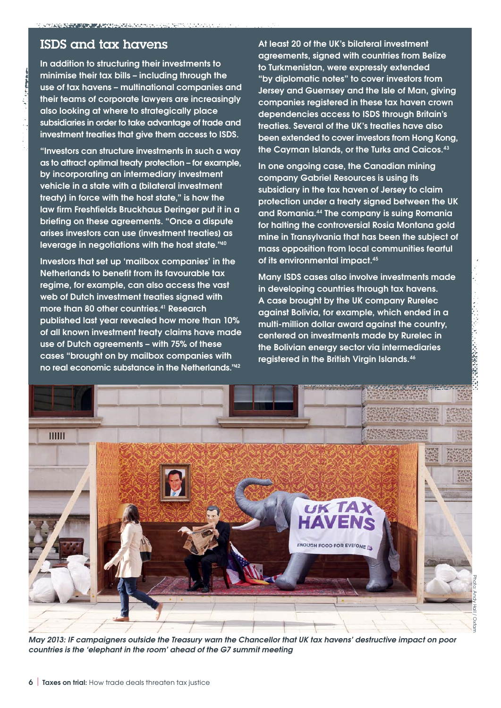## ISDS and tax havens

**In addition to structuring their investments to minimise their tax bills – including through the use of tax havens – multinational companies and their teams of corporate lawyers are increasingly also looking at where to strategically place subsidiaries in order to take advantage of trade and investment treaties that give them access to ISDS.**

**"Investors can structure investments in such a way as to attract optimal treaty protection – for example, by incorporating an intermediary investment vehicle in a state with a [bilateral investment treaty] in force with the host state," is how the law firm Freshfields Bruckhaus Deringer put it in a briefing on these agreements. "Once a dispute arises investors can use [investment treaties] as leverage in negotiations with the host state."40**

**Investors that set up 'mailbox companies' in the Netherlands to benefit from its favourable tax regime, for example, can also access the vast web of Dutch investment treaties signed with more than 80 other countries.41 Research published last year revealed how more than 10% of all known investment treaty claims have made use of Dutch agreements – with 75% of these cases "brought on by mailbox companies with no real economic substance in the Netherlands."42**

**At least 20 of the UK's bilateral investment agreements, signed with countries from Belize to Turkmenistan, were expressly extended "by diplomatic notes" to cover investors from Jersey and Guernsey and the Isle of Man, giving companies registered in these tax haven crown dependencies access to ISDS through Britain's treaties. Several of the UK's treaties have also been extended to cover investors from Hong Kong, the Cayman Islands, or the Turks and Caicos.43**

**In one ongoing case, the Canadian mining company Gabriel Resources is using its subsidiary in the tax haven of Jersey to claim protection under a treaty signed between the UK and Romania.44 The company is suing Romania for halting the controversial Rosia Montana gold mine in Transylvania that has been the subject of mass opposition from local communities fearful of its environmental impact.45**

**Many ISDS cases also involve investments made in developing countries through tax havens. A case brought by the UK company Rurelec against Bolivia, for example, which ended in a multi-million dollar award against the country, centered on investments made by Rurelec in the Bolivian energy sector via intermediaries registered in the British Virgin Islands.46**



*May 2013: IF campaigners outside the Treasury warn the Chancellor that UK tax havens' destructive impact on poor countries is the 'elephant in the room' ahead of the G7 summit meeting*

Photo: Andy Hall / Oxfam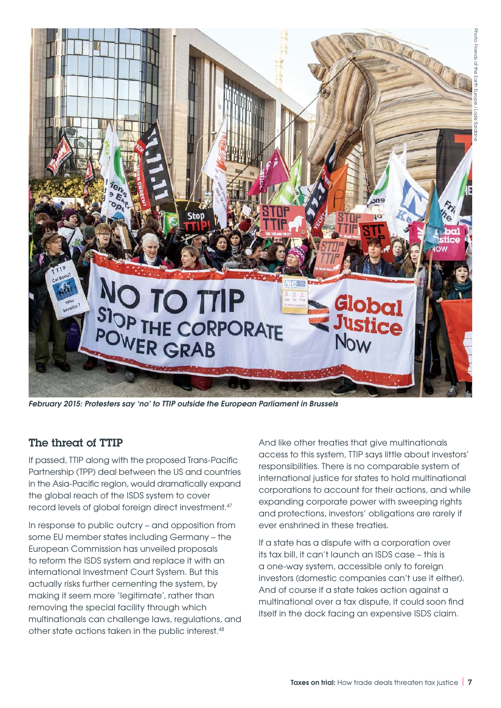

*February 2015: Protesters say 'no' to TTIP outside the European Parliament in Brussels*

#### The threat of TTIP

If passed, TTIP along with the proposed Trans-Pacific Partnership (TPP) deal between the US and countries in the Asia-Pacific region, would dramatically expand the global reach of the ISDS system to cover record levels of global foreign direct investment.<sup>47</sup>

In response to public outcry – and opposition from some EU member states including Germany – the European Commission has unveiled proposals to reform the ISDS system and replace it with an international Investment Court System. But this actually risks further cementing the system, by making it seem more 'legitimate', rather than removing the special facility through which multinationals can challenge laws, regulations, and other state actions taken in the public interest.<sup>48</sup>

And like other treaties that give multinationals access to this system, TTIP says little about investors' responsibilities. There is no comparable system of international justice for states to hold multinational corporations to account for their actions, and while expanding corporate power with sweeping rights and protections, investors' obligations are rarely if ever enshrined in these treaties.

If a state has a dispute with a corporation over its tax bill, it can't launch an ISDS case – this is a one-way system, accessible only to foreign investors (domestic companies can't use it either). And of course if a state takes action against a multinational over a tax dispute, it could soon find itself in the dock facing an expensive ISDS claim.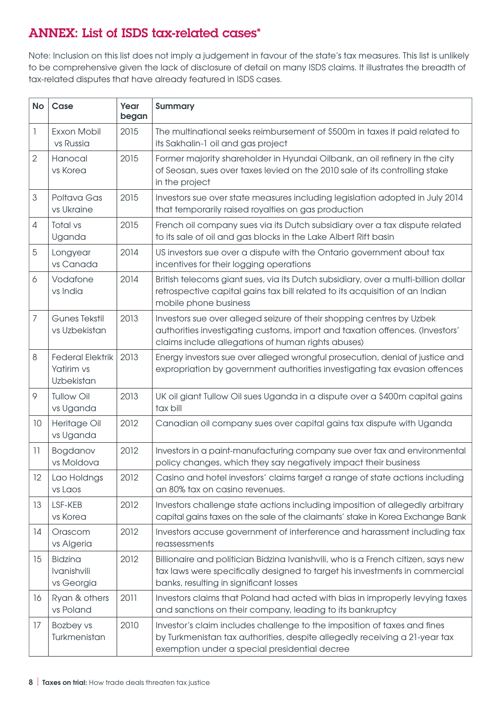# ANNEX: List of ISDS tax-related cases\*

Note: Inclusion on this list does not imply a judgement in favour of the state's tax measures. This list is unlikely to be comprehensive given the lack of disclosure of detail on many ISDS claims. It illustrates the breadth of tax-related disputes that have already featured in ISDS cases.

| <b>No</b>      | Case                                                | Year<br>began | <b>Summary</b>                                                                                                                                                                                              |
|----------------|-----------------------------------------------------|---------------|-------------------------------------------------------------------------------------------------------------------------------------------------------------------------------------------------------------|
| $\mathbb{I}$   | Exxon Mobil<br>vs Russia                            | 2015          | The multinational seeks reimbursement of \$500m in taxes it paid related to<br>its Sakhalin-1 oil and gas project                                                                                           |
| $\overline{2}$ | Hanocal<br>vs Korea                                 | 2015          | Former majority shareholder in Hyundai Oilbank, an oil refinery in the city<br>of Seosan, sues over taxes levied on the 2010 sale of its controlling stake<br>in the project                                |
| 3              | Poltava Gas<br>vs Ukraine                           | 2015          | Investors sue over state measures including legislation adopted in July 2014<br>that temporarily raised royalties on gas production                                                                         |
| 4              | Total vs<br>Uganda                                  | 2015          | French oil company sues via its Dutch subsidiary over a tax dispute related<br>to its sale of oil and gas blocks in the Lake Albert Rift basin                                                              |
| 5              | Longyear<br>vs Canada                               | 2014          | US investors sue over a dispute with the Ontario government about tax<br>incentives for their logging operations                                                                                            |
| 6              | Vodafone<br>vs India                                | 2014          | British telecoms giant sues, via its Dutch subsidiary, over a multi-billion dollar<br>retrospective capital gains tax bill related to its acquisition of an Indian<br>mobile phone business                 |
| 7              | <b>Gunes Tekstil</b><br>vs Uzbekistan               | 2013          | Investors sue over alleged seizure of their shopping centres by Uzbek<br>authorities investigating customs, import and taxation offences. (Investors'<br>claims include allegations of human rights abuses) |
| 8              | <b>Federal Elektrik</b><br>Yatirim vs<br>Uzbekistan | 2013          | Energy investors sue over alleged wrongful prosecution, denial of justice and<br>expropriation by government authorities investigating tax evasion offences                                                 |
| 9              | <b>Tullow Oil</b><br>vs Uganda                      | 2013          | UK oil giant Tullow Oil sues Uganda in a dispute over a \$400m capital gains<br>tax bill                                                                                                                    |
| 10             | Heritage Oil<br>vs Uganda                           | 2012          | Canadian oil company sues over capital gains tax dispute with Uganda                                                                                                                                        |
| 11             | Bogdanov<br>vs Moldova                              | 2012          | Investors in a paint-manufacturing company sue over tax and environmental<br>policy changes, which they say negatively impact their business                                                                |
| 12             | Lao Holdngs<br>vs Laos                              | 2012          | Casino and hotel investors' claims target a range of state actions including<br>an 80% tax on casino revenues.                                                                                              |
| 13             | LSF-KEB<br>vs Korea                                 | 2012          | Investors challenge state actions including imposition of allegedly arbitrary<br>capital gains taxes on the sale of the claimants' stake in Korea Exchange Bank                                             |
| 14             | Orascom<br>vs Algeria                               | 2012          | Investors accuse government of interference and harassment including tax<br>reassessments                                                                                                                   |
| 15             | <b>Bidzina</b><br>Ivanishvili<br>vs Georgia         | 2012          | Billionaire and politician Bidzina Ivanishvili, who is a French citizen, says new<br>tax laws were specifically designed to target his investments in commercial<br>banks, resulting in significant losses  |
| 16             | Ryan & others<br>vs Poland                          | 2011          | Investors claims that Poland had acted with bias in improperly levying taxes<br>and sanctions on their company, leading to its bankruptcy                                                                   |
| 17             | Bozbey vs<br>Turkmenistan                           | 2010          | Investor's claim includes challenge to the imposition of taxes and fines<br>by Turkmenistan tax authorities, despite allegedly receiving a 21-year tax<br>exemption under a special presidential decree     |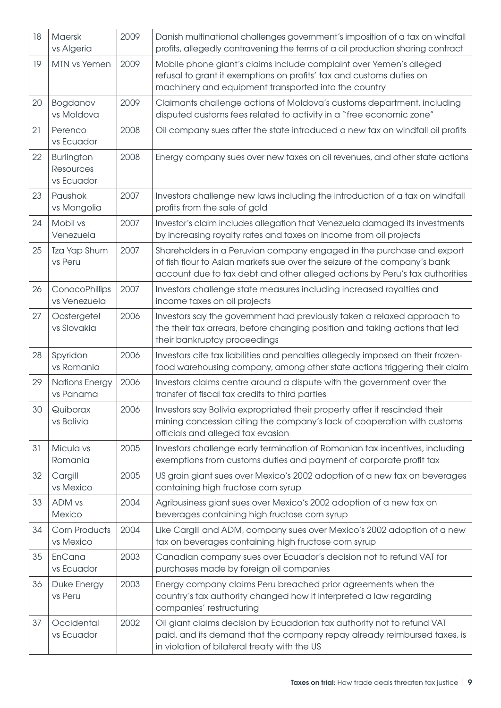| 18 | Maersk<br>vs Algeria                         | 2009 | Danish multinational challenges government's imposition of a tax on windfall<br>profits, allegedly contravening the terms of a oil production sharing contract                                                                    |
|----|----------------------------------------------|------|-----------------------------------------------------------------------------------------------------------------------------------------------------------------------------------------------------------------------------------|
| 19 | MTN vs Yemen                                 | 2009 | Mobile phone giant's claims include complaint over Yemen's alleged<br>refusal to grant it exemptions on profits' tax and customs duties on<br>machinery and equipment transported into the country                                |
| 20 | Bogdanov<br>vs Moldova                       | 2009 | Claimants challenge actions of Moldova's customs department, including<br>disputed customs fees related to activity in a "free economic zone"                                                                                     |
| 21 | Perenco<br>vs Ecuador                        | 2008 | Oil company sues after the state introduced a new tax on windfall oil profits                                                                                                                                                     |
| 22 | Burlington<br><b>Resources</b><br>vs Ecuador | 2008 | Energy company sues over new taxes on oil revenues, and other state actions                                                                                                                                                       |
| 23 | Paushok<br>vs Mongolia                       | 2007 | Investors challenge new laws including the introduction of a tax on windfall<br>profits from the sale of gold                                                                                                                     |
| 24 | Mobil vs<br>Venezuela                        | 2007 | Investor's claim includes allegation that Venezuela damaged its investments<br>by increasing royalty rates and taxes on income from oil projects                                                                                  |
| 25 | Tza Yap Shum<br>vs Peru                      | 2007 | Shareholders in a Peruvian company engaged in the purchase and export<br>of fish flour to Asian markets sue over the seizure of the company's bank<br>account due to tax debt and other alleged actions by Peru's tax authorities |
| 26 | ConocoPhillips<br>vs Venezuela               | 2007 | Investors challenge state measures including increased royalties and<br>income taxes on oil projects                                                                                                                              |
| 27 | Oostergetel<br>vs Slovakia                   | 2006 | Investors say the government had previously taken a relaxed approach to<br>the their tax arrears, before changing position and taking actions that led<br>their bankruptcy proceedings                                            |
| 28 | Spyridon<br>vs Romania                       | 2006 | Investors cite tax liabilities and penalties allegedly imposed on their frozen-<br>food warehousing company, among other state actions triggering their claim                                                                     |
| 29 | <b>Nations Energy</b><br>vs Panama           | 2006 | Investors claims centre around a dispute with the government over the<br>transfer of fiscal tax credits to third parties                                                                                                          |
| 30 | Quiborax<br>vs Bolivia                       | 2006 | Investors say Bolivia expropriated their property after it rescinded their<br>mining concession citing the company's lack of cooperation with customs<br>officials and alleged tax evasion                                        |
| 31 | Micula vs<br>Romania                         | 2005 | Investors challenge early termination of Romanian tax incentives, including<br>exemptions from customs duties and payment of corporate profit tax                                                                                 |
| 32 | Cargill<br>vs Mexico                         | 2005 | US grain giant sues over Mexico's 2002 adoption of a new tax on beverages<br>containing high fructose corn syrup                                                                                                                  |
| 33 | ADM vs<br>Mexico                             | 2004 | Agribusiness giant sues over Mexico's 2002 adoption of a new tax on<br>beverages containing high fructose corn syrup                                                                                                              |
| 34 | <b>Corn Products</b><br>vs Mexico            | 2004 | Like Cargill and ADM, company sues over Mexico's 2002 adoption of a new<br>tax on beverages containing high fructose corn syrup                                                                                                   |
| 35 | EnCana<br>vs Ecuador                         | 2003 | Canadian company sues over Ecuador's decision not to refund VAT for<br>purchases made by foreign oil companies                                                                                                                    |
| 36 | Duke Energy<br>vs Peru                       | 2003 | Energy company claims Peru breached prior agreements when the<br>country's tax authority changed how it interpreted a law regarding<br>companies' restructuring                                                                   |
| 37 | Occidental<br>vs Ecuador                     | 2002 | Oil giant claims decision by Ecuadorian tax authority not to refund VAT<br>paid, and its demand that the company repay already reimbursed taxes, is<br>in violation of bilateral treaty with the US                               |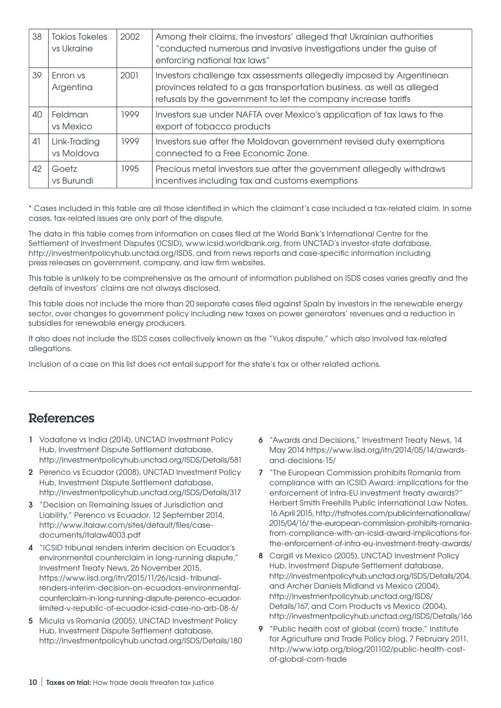| 38 | <b>Tokios Tokeles</b><br>vs Ukraine | 2002 | Among their claims, the investors' alleged that Ukrainian authorities<br>"conducted numerous and invasive investigations under the guise of<br>enforcing national tax laws"                                      |
|----|-------------------------------------|------|------------------------------------------------------------------------------------------------------------------------------------------------------------------------------------------------------------------|
| 39 | Enron vs<br>Argentina               | 2001 | Investors challenge tax assessments allegedly imposed by Argentinean<br>provinces related to a gas transportation business, as well as alleged<br>refusals by the government to let the company increase tariffs |
| 40 | Feldman<br>vs Mexico                | 1999 | Investors sue under NAFTA over Mexico's application of tax laws to the<br>export of tobacco products                                                                                                             |
| 41 | Link-Trading<br>vs Moldova          | 1999 | Investors sue after the Moldovan government revised duty exemptions<br>connected to a Free Economic Zone.                                                                                                        |
| 42 | Goetz<br>vs Burundi                 | 1995 | Precious metal investors sue after the government allegedly withdraws<br>incentives including tax and customs exemptions                                                                                         |

\* Cases included in this table are all those identified in which the claimant's case included a tax-related claim. In some cases, tax-related issues are only part of the dispute.

The data in this table comes from information on cases filed at the World Bank's International Centre for the Settlement of Investment Disputes (ICSID), www.icsid.worldbank.org, from UNCTAD's investor-state database, http://investmentpolicyhub.unctad.org/ISDS, and from news reports and case-specific information including press releases on government, company, and law firm websites.

This table is unlikely to be comprehensive as the amount of information published on ISDS cases varies greatly and the details of investors' claims are not always disclosed.

This table does not include the more than 20 separate cases filed against Spain by investors in the renewable energy sector, over changes to government policy including new taxes on power generators' revenues and a reduction in subsidies for renewable energy producers.

It also does not include the ISDS cases collectively known as the "Yukos dispute," which also involved tax-related allegations.

Inclusion of a case on this list does not entail support for the state's tax or other related actions.

## References

- **1** Vodafone vs India (2014), UNCTAD Investment Policy Hub, Investment Dispute Settlement database, http://investmentpolicyhub.unctad.org/ISDS/Details/581
- **2** Perenco vs Ecuador (2008), UNCTAD Investment Policy Hub, Investment Dispute Settlement database, http://investmentpolicyhub.unctad.org/ISDS/Details/317
- **3** "Decision on Remaining Issues of Jurisdiction and Liability," Perenco vs Ecuador, 12 September 2014, http://www.italaw.com/sites/default/files/casedocuments/italaw4003.pdf
- **4** "ICSID tribunal renders interim decision on Ecuador's environmental counterclaim in long-running dispute," Investment Treaty News, 26 November 2015, [https://www.iisd.org/itn/2015/11/26/icsid- tribunal](https://www.iisd.org/itn/2015/11/26/icsid- tribunal-
renders-interim-decision-on-ecuadors-environmental-counterclaim-in-long-running-dispute-perenco-ecuador-
limited-v-republic-of-ecuador-icsid-case-no-arb-08-6/
)[renders-interim-decision-on-ecuadors-environmental](https://www.iisd.org/itn/2015/11/26/icsid- tribunal-
renders-interim-decision-on-ecuadors-environmental-counterclaim-in-long-running-dispute-perenco-ecuador-
limited-v-republic-of-ecuador-icsid-case-no-arb-08-6/
)[counterclaim-in-long-running-dispute-perenco-ecuador](https://www.iisd.org/itn/2015/11/26/icsid- tribunal-
renders-interim-decision-on-ecuadors-environmental-counterclaim-in-long-running-dispute-perenco-ecuador-
limited-v-republic-of-ecuador-icsid-case-no-arb-08-6/
)[limited-v-republic-of-ecuador-icsid-case-no-arb-08-6/](https://www.iisd.org/itn/2015/11/26/icsid- tribunal-
renders-interim-decision-on-ecuadors-environmental-counterclaim-in-long-running-dispute-perenco-ecuador-
limited-v-republic-of-ecuador-icsid-case-no-arb-08-6/
)
- **5** Micula vs Romania (2005), UNCTAD Investment Policy Hub, Investment Dispute Settlement database, http://investmentpolicyhub.unctad.org/ISDS/Details/180
- **6** "Awards and Decisions," Investment Treaty News, 14 May 2014 [https://www.iisd.org/itn/2014/05/14/awards](https://www.iisd.org/itn/2014/05/14/awards-and-decisions-15/)[and-decisions-15/](https://www.iisd.org/itn/2014/05/14/awards-and-decisions-15/)
- **7** "The European Commission prohibits Romania from compliance with an ICSID Award: implications for the enforcement of intra-EU investment treaty awards?" Herbert Smith Freehills Public International Law Notes, 16 April 2015, [http://hsfnotes.com/publicinternationallaw/](http://hsfnotes.com/publicinternationallaw/
2015/04/16/ the-european-commission-prohibits-romania-
from-compliance-with-an-icsid-award-implications-for-
the-enforcement-of-intra-eu-investment-treaty-awards/
) [2015/04/16/ the-european-commission-prohibits-romania](http://hsfnotes.com/publicinternationallaw/
2015/04/16/ the-european-commission-prohibits-romania-
from-compliance-with-an-icsid-award-implications-for-
the-enforcement-of-intra-eu-investment-treaty-awards/
)[from-compliance-with-an-icsid-award-implications-for](http://hsfnotes.com/publicinternationallaw/
2015/04/16/ the-european-commission-prohibits-romania-
from-compliance-with-an-icsid-award-implications-for-
the-enforcement-of-intra-eu-investment-treaty-awards/
)[the-enforcement-of-intra-eu-investment-treaty-awards/](http://hsfnotes.com/publicinternationallaw/
2015/04/16/ the-european-commission-prohibits-romania-
from-compliance-with-an-icsid-award-implications-for-
the-enforcement-of-intra-eu-investment-treaty-awards/
)
- **8** Cargill vs Mexico (2005), UNCTAD Investment Policy Hub, Investment Dispute Settlement database, http://investmentpolicyhub.unctad.org/ISDS/Details/204, and Archer Daniels Midland vs Mexico (2004), [http://investmentpolicyhub.unctad.org/ISDS/](http://investmentpolicyhub.unctad.org/ISDS/Details/167, and Corn Products vs Mexico (2004), 
http://investmentpolicyhub.unctad.org/ISDS/Details/166
) [Details/167, and Corn Products vs Mexico \(2004\),](http://investmentpolicyhub.unctad.org/ISDS/Details/167, and Corn Products vs Mexico (2004), 
http://investmentpolicyhub.unctad.org/ISDS/Details/166
)  [http://investmentpolicyhub.unctad.org/ISDS/Details/166](http://investmentpolicyhub.unctad.org/ISDS/Details/167, and Corn Products vs Mexico (2004), 
http://investmentpolicyhub.unctad.org/ISDS/Details/166
)
- **9** "Public health cost of global (corn) trade," Institute for Agriculture and Trade Policy blog, 7 February 2011, [http://www.iatp.org/blog/201102/public-health-cost](http://www.iatp.org/blog/201102/public-health-cost-of-global-corn-trade)[of-global-corn-trade](http://www.iatp.org/blog/201102/public-health-cost-of-global-corn-trade)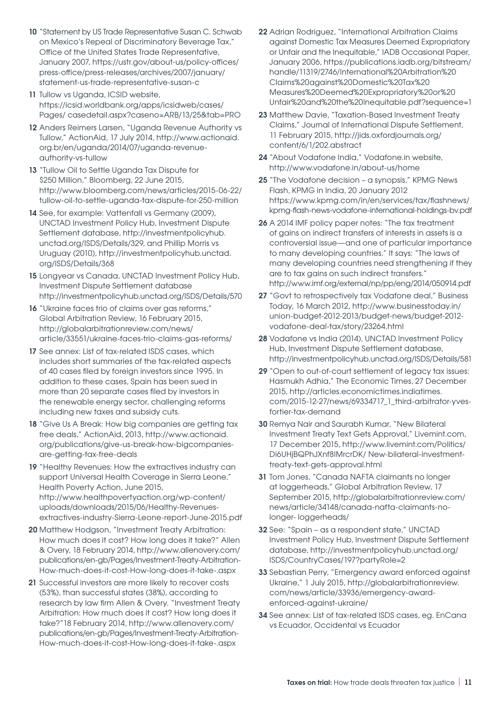- **10** "Statement by US Trade Representative Susan C. Schwab on Mexico's Repeal of Discriminatory Beverage Tax," Office of the United States Trade Representative, January 2007, [https://ustr.gov/about-us/policy-offices/](https://ustr.gov/about-us/policy-offices/press-office/press-releases/archives/2007/january/statement-us-trade-representative-susan-c) [press-office/press-releases/archives/2007/january/](https://ustr.gov/about-us/policy-offices/press-office/press-releases/archives/2007/january/statement-us-trade-representative-susan-c) [statement-us-trade-representative-susan-c](https://ustr.gov/about-us/policy-offices/press-office/press-releases/archives/2007/january/statement-us-trade-representative-susan-c)
- **11** Tullow vs Uganda, ICSID website, [https://icsid.worldbank.org/apps/icsidweb/cases/](https://icsid.worldbank.org/apps/icsidweb/cases/Pages/ casedetail.aspx?caseno=ARB/13/25&tab=PRO) [Pages/ casedetail.aspx?caseno=ARB/13/25&tab=PRO](https://icsid.worldbank.org/apps/icsidweb/cases/Pages/ casedetail.aspx?caseno=ARB/13/25&tab=PRO)
- **12** Anders Reimers Larsen, "Uganda Revenue Authority vs Tullow," ActionAid, 17 July 2014, [http://www.actionaid.](http://www.actionaid.org.br/en/uganda/2014/07/uganda-revenue-authority-vs-tullow
) [org.br/en/uganda/2014/07/uganda-revenue](http://www.actionaid.org.br/en/uganda/2014/07/uganda-revenue-authority-vs-tullow
)[authority-vs-tullow](http://www.actionaid.org.br/en/uganda/2014/07/uganda-revenue-authority-vs-tullow
)
- **13** "Tullow Oil to Settle Uganda Tax Dispute for \$250 Million," Bloomberg, 22 June 2015, [http://www.bloomberg.com/news/articles/2015-06-22/](http://www.bloomberg.com/news/articles/2015-06-22/tullow-oil-to-settle-uganda-tax-dispute-for-250-million
) [tullow-oil-to-settle-uganda-tax-dispute-for-250-million](http://www.bloomberg.com/news/articles/2015-06-22/tullow-oil-to-settle-uganda-tax-dispute-for-250-million
)
- **14** See, for example: Vattenfall vs Germany (2009), UNCTAD Investment Policy Hub, Investment Dispute Settlement database, [http://investmentpolicyhub.](http://investmentpolicyhub.unctad.org/ISDS/Details/329, and Phillip Morris vs Uruguay (2010), http://investmentpolicyhub.unctad.org/ISDS/Details/368
) [unctad.org/ISDS/Details/329, and Phillip Morris vs](http://investmentpolicyhub.unctad.org/ISDS/Details/329, and Phillip Morris vs Uruguay (2010), http://investmentpolicyhub.unctad.org/ISDS/Details/368
)  [Uruguay \(2010\), http://investmentpolicyhub.unctad.](http://investmentpolicyhub.unctad.org/ISDS/Details/329, and Phillip Morris vs Uruguay (2010), http://investmentpolicyhub.unctad.org/ISDS/Details/368
) [org/ISDS/Details/368](http://investmentpolicyhub.unctad.org/ISDS/Details/329, and Phillip Morris vs Uruguay (2010), http://investmentpolicyhub.unctad.org/ISDS/Details/368
)
- **15** Longyear vs Canada, UNCTAD Investment Policy Hub, Investment Dispute Settlement database http://investmentpolicyhub.unctad.org/ISDS/Details/570
- 16 "Ukraine faces trio of claims over gas reforms," Global Arbitration Review, 16 February 2015, [http://globalarbitrationreview.com/news/](http://globalarbitrationreview.com/news/article/33551/ukraine-faces-trio-claims-gas-reforms/) [article/33551/ukraine-faces-trio-claims-gas-reforms/](http://globalarbitrationreview.com/news/article/33551/ukraine-faces-trio-claims-gas-reforms/)
- **17** See annex: List of tax-related ISDS cases, which includes short summaries of the tax-related aspects of 40 cases filed by foreign investors since 1995. In addition to these cases, Spain has been sued in more than 20 separate cases filed by investors in the renewable energy sector, challenging reforms including new taxes and subsidy cuts.
- **18** "Give Us A Break: How big companies are getting tax free deals," ActionAid, 2013, [http://www.actionaid.](http://www.actionaid.org/publications/give-us-break-how-bigcompanies-are-getting-tax-free-deals
) [org/publications/give-us-break-how-bigcompanies](http://www.actionaid.org/publications/give-us-break-how-bigcompanies-are-getting-tax-free-deals
)[are-getting-tax-free-deals](http://www.actionaid.org/publications/give-us-break-how-bigcompanies-are-getting-tax-free-deals
)
- **19** "Healthy Revenues: How the extractives industry can support Universal Health Coverage in Sierra Leone," Health Poverty Action, June 2015, [http://www.healthpovertyaction.org/wp-content/](http://www.healthpovertyaction.org/wp-content/uploads/downloads/2015/06/Healthy-Revenues-extractives-industry-Sierra-Leone-report-June-2015.pdf
) [uploads/downloads/2015/06/Healthy-Revenues](http://www.healthpovertyaction.org/wp-content/uploads/downloads/2015/06/Healthy-Revenues-extractives-industry-Sierra-Leone-report-June-2015.pdf
)[extractives-industry-Sierra-Leone-report-June-2015.pdf](http://www.healthpovertyaction.org/wp-content/uploads/downloads/2015/06/Healthy-Revenues-extractives-industry-Sierra-Leone-report-June-2015.pdf
)
- **20** Matthew Hodgson, "Investment Treaty Arbitration: How much does it cost? How long does it take?" Allen & Overy, 18 February 2014, [http://www.allenovery.com/](http://www.allenovery.com/
publications/en-gb/Pages/ Investment-Treaty-Arbitration-
How-much-does-it-cost-How-long-does-it-take-.aspx) [publications/en-gb/Pages/Investment-Treaty-Arbitration-](http://www.allenovery.com/
publications/en-gb/Pages/ Investment-Treaty-Arbitration-
How-much-does-it-cost-How-long-does-it-take-.aspx)[How-much-does-it-cost-How-long-does-it-take-.aspx](http://www.allenovery.com/
publications/en-gb/Pages/ Investment-Treaty-Arbitration-
How-much-does-it-cost-How-long-does-it-take-.aspx)
- **21** Successful investors are more likely to recover costs (53%), than successful states (38%), according to research by law firm Allen & Overy. "Investment Treaty Arbitration: How much does it cost? How long does it take?"18 February 2014, [http://www.allenovery.com/](http://www.allenovery.com/
publications/en-gb/Pages/ Investment-Treaty-Arbitration-
How-much-does-it-cost-How-long-does-it-take-.aspx) [publications/en-gb/Pages/Investment-Treaty-Arbitration-](http://www.allenovery.com/
publications/en-gb/Pages/ Investment-Treaty-Arbitration-
How-much-does-it-cost-How-long-does-it-take-.aspx)[How-much-does-it-cost-How-long-does-it-take-.aspx](http://www.allenovery.com/
publications/en-gb/Pages/ Investment-Treaty-Arbitration-
How-much-does-it-cost-How-long-does-it-take-.aspx)
- **22** Adrian Rodriguez, "International Arbitration Claims against Domestic Tax Measures Deemed Expropriatory or Unfair and the Inequitable," IADB Occasional Paper, January 2006, [https://publications.iadb.org/bitstream/](https://publications.iadb.org/bitstream/handle/11319/2746/International%20Arbitration%20Claims%20against%20Domestic%20Tax%20Measures%20Deemed%20Expropriatory%20or%20Unfair%20and%20the%20Inequitable.pdf?sequence=1
) [handle/11319/2746/International%20Arbitration%20](https://publications.iadb.org/bitstream/handle/11319/2746/International%20Arbitration%20Claims%20against%20Domestic%20Tax%20Measures%20Deemed%20Expropriatory%20or%20Unfair%20and%20the%20Inequitable.pdf?sequence=1
) [Claims%20against%20Domestic%20Tax%20](https://publications.iadb.org/bitstream/handle/11319/2746/International%20Arbitration%20Claims%20against%20Domestic%20Tax%20Measures%20Deemed%20Expropriatory%20or%20Unfair%20and%20the%20Inequitable.pdf?sequence=1
) [Measures%20Deemed%20Expropriatory%20or%20](https://publications.iadb.org/bitstream/handle/11319/2746/International%20Arbitration%20Claims%20against%20Domestic%20Tax%20Measures%20Deemed%20Expropriatory%20or%20Unfair%20and%20the%20Inequitable.pdf?sequence=1
) [Unfair%20and%20the%20Inequitable.pdf?sequence=1](https://publications.iadb.org/bitstream/handle/11319/2746/International%20Arbitration%20Claims%20against%20Domestic%20Tax%20Measures%20Deemed%20Expropriatory%20or%20Unfair%20and%20the%20Inequitable.pdf?sequence=1
)
- **23** Matthew Davie, "Taxation-Based Investment Treaty Claims," Journal of International Dispute Settlement, 11 February 2015, [http://jids.oxfordjournals.org/](http://jids.oxfordjournals.org/content/6/1/202.abstract) [content/6/1/202.abstract](http://jids.oxfordjournals.org/content/6/1/202.abstract)
- **24** "About Vodafone India," Vodafone.in website, <http://www.vodafone.in/about-us/home>
- **25** "The Vodafone decision a synopsis," KPMG News Flash, KPMG in India, 20 January 2012 [https://www.kpmg.com/in/en/services/tax/flashnews/](https://www.kpmg.com/in/en/services/tax/flashnews/kpmg-flash-news-vodafone-international-holdings-bv.pdf) [kpmg-flash-news-vodafone-international-holdings-bv.pdf](https://www.kpmg.com/in/en/services/tax/flashnews/kpmg-flash-news-vodafone-international-holdings-bv.pdf)
- **26** A 2014 IMF policy paper notes: "The tax treatment of gains on indirect transfers of interests in assets is a controversial issue—and one of particular importance to many developing countries." It says: "The laws of many developing countries need strengthening if they are to tax gains on such indirect transfers." <http://www.imf.org/external/np/pp/eng/2014/050914.pdf>
- **27** "Govt to retrospectively tax Vodafone deal," Business Today, 16 March 2012, [http://www.businesstoday.in/](http://www.businesstoday.in/union-budget-2012-2013/budget-news/budget-2012-vodafone-deal-tax/story/23264.html) [union-budget-2012-2013/budget-news/budget-2012](http://www.businesstoday.in/union-budget-2012-2013/budget-news/budget-2012-vodafone-deal-tax/story/23264.html) [vodafone-deal-tax/story/23264.html](http://www.businesstoday.in/union-budget-2012-2013/budget-news/budget-2012-vodafone-deal-tax/story/23264.html)
- **28** Vodafone vs India (2014), UNCTAD Investment Policy Hub, Investment Dispute Settlement database, http://investmentpolicyhub.unctad.org/ISDS/Details/581
- **29** "Open to out-of-court settlement of legacy tax issues: Hasmukh Adhia," The Economic Times, 27 December 2015, [http://articles.economictimes.indiatimes.](http://articles.economictimes.indiatimes.com/2015-12-27/news/69334717_1_third-arbitrator-yves-fortier-tax-demand) [com/2015-12-27/news/69334717\\_1\\_third-arbitrator-yves](http://articles.economictimes.indiatimes.com/2015-12-27/news/69334717_1_third-arbitrator-yves-fortier-tax-demand)[fortier-tax-demand](http://articles.economictimes.indiatimes.com/2015-12-27/news/69334717_1_third-arbitrator-yves-fortier-tax-demand)
- **30** Remya Nair and Saurabh Kumar, "New Bilateral Investment Treaty Text Gets Approval," Livemint.com, 17 December 2015, [http://www.livemint.com/Politics/](http://www.livemint.com/Politics/Di6UHjBQPhJXnf8IMrcrDK/ New-bilateral-investment-treaty-text-gets-approval.html) [Di6UHjBQPhJXnf8IMrcrDK/ New-bilateral-investment](http://www.livemint.com/Politics/Di6UHjBQPhJXnf8IMrcrDK/ New-bilateral-investment-treaty-text-gets-approval.html)[treaty-text-gets-approval.html](http://www.livemint.com/Politics/Di6UHjBQPhJXnf8IMrcrDK/ New-bilateral-investment-treaty-text-gets-approval.html)
- **31** Tom Jones, "Canada NAFTA claimants no longer at loggerheads," Global Arbitration Review, 17 September 2015, [http://globalarbitrationreview.com/](http://globalarbitrationreview.com/news/article/34148/canada-nafta-claimants-no-longer- loggerheads/) [news/article/34148/canada-nafta-claimants-no](http://globalarbitrationreview.com/news/article/34148/canada-nafta-claimants-no-longer- loggerheads/)[longer- loggerheads/](http://globalarbitrationreview.com/news/article/34148/canada-nafta-claimants-no-longer- loggerheads/)
- **32** See: "Spain as a respondent state," UNCTAD Investment Policy Hub, Investment Dispute Settlement database, [http://investmentpolicyhub.unctad.org/](http://investmentpolicyhub.unctad.org/ISDS/CountryCases/197?partyRole=2) [ISDS/CountryCases/197?partyRole=2](http://investmentpolicyhub.unctad.org/ISDS/CountryCases/197?partyRole=2)
- **33** Sebastian Perry, "Emergency award enforced against Ukraine," 1 July 2015, [http://globalarbitrationreview.](http://globalarbitrationreview.com/news/article/33936/emergency-award-enforced-against-ukraine/) [com/news/article/33936/emergency-award](http://globalarbitrationreview.com/news/article/33936/emergency-award-enforced-against-ukraine/)[enforced-against-ukraine/](http://globalarbitrationreview.com/news/article/33936/emergency-award-enforced-against-ukraine/)
- **34** See annex: List of tax-related ISDS cases, eg. EnCana vs Ecuador, Occidental vs Ecuador